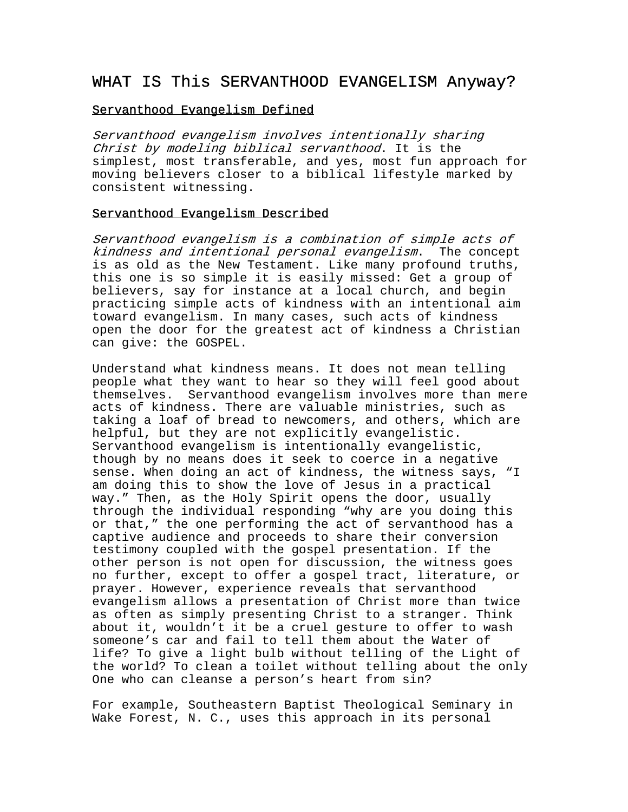## WHAT IS This SERVANTHOOD EVANGELISM Anyway?

## Servanthood Evangelism Defined

Servanthood evangelism involves intentionally sharing Christ by modeling biblical servanthood. It is the simplest, most transferable, and yes, most fun approach for moving believers closer to a biblical lifestyle marked by consistent witnessing.

## Servanthood Evangelism Described

Servanthood evangelism is a combination of simple acts of kindness and intentional personal evangelism. The concept is as old as the New Testament. Like many profound truths, this one is so simple it is easily missed: Get a group of believers, say for instance at a local church, and begin practicing simple acts of kindness with an intentional aim toward evangelism. In many cases, such acts of kindness open the door for the greatest act of kindness a Christian can give: the GOSPEL.

Understand what kindness means. It does not mean telling people what they want to hear so they will feel good about themselves. Servanthood evangelism involves more than mere acts of kindness. There are valuable ministries, such as taking a loaf of bread to newcomers, and others, which are helpful, but they are not explicitly evangelistic. Servanthood evangelism is intentionally evangelistic, though by no means does it seek to coerce in a negative sense. When doing an act of kindness, the witness says, "I am doing this to show the love of Jesus in a practical way." Then, as the Holy Spirit opens the door, usually through the individual responding "why are you doing this or that," the one performing the act of servanthood has a captive audience and proceeds to share their conversion testimony coupled with the gospel presentation. If the other person is not open for discussion, the witness goes no further, except to offer a gospel tract, literature, or prayer. However, experience reveals that servanthood evangelism allows a presentation of Christ more than twice as often as simply presenting Christ to a stranger. Think about it, wouldn't it be a cruel gesture to offer to wash someone's car and fail to tell them about the Water of life? To give a light bulb without telling of the Light of the world? To clean a toilet without telling about the only One who can cleanse a person's heart from sin?

For example, Southeastern Baptist Theological Seminary in Wake Forest, N. C., uses this approach in its personal